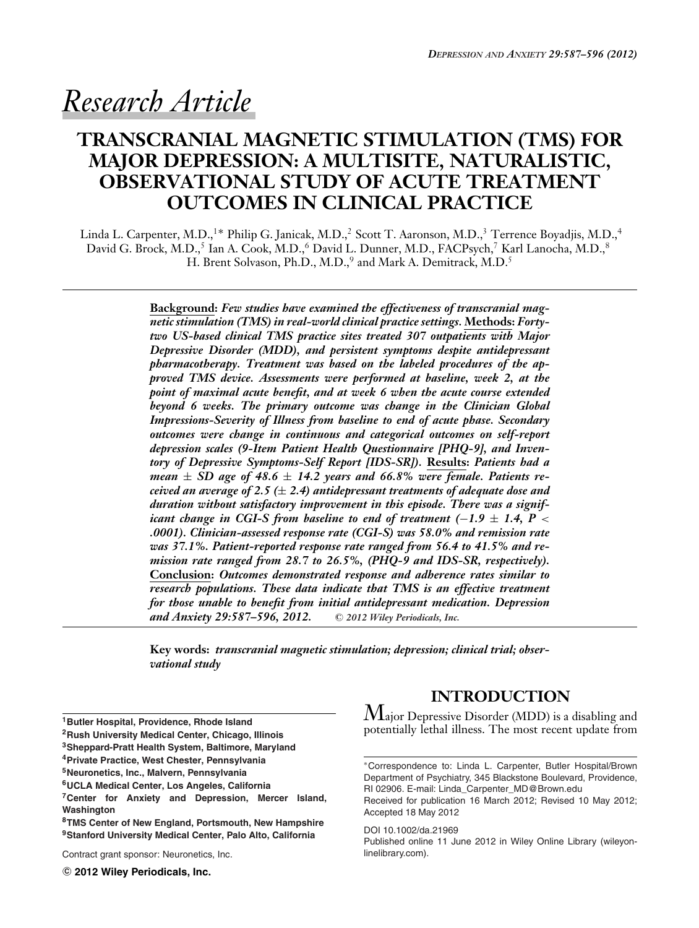# *Research Article*

# **TRANSCRANIAL MAGNETIC STIMULATION (TMS) FOR MAJOR DEPRESSION: A MULTISITE, NATURALISTIC, OBSERVATIONAL STUDY OF ACUTE TREATMENT OUTCOMES IN CLINICAL PRACTICE**

Linda L. Carpenter, M.D.,<sup>1∗</sup> Philip G. Janicak, M.D.,<sup>2</sup> Scott T. Aaronson, M.D.,<sup>3</sup> Terrence Boyadjis, M.D.,<sup>4</sup> David G. Brock, M.D.,<sup>5</sup> Ian A. Cook, M.D.,<sup>6</sup> David L. Dunner, M.D., FACPsych,<sup>7</sup> Karl Lanocha, M.D.,<sup>8</sup> H. Brent Solvason, Ph.D., M.D.,<sup>9</sup> and Mark A. Demitrack, M.D.<sup>5</sup>

> **Background:** *Few studies have examined the effectiveness of transcranial magnetic stimulation (TMS) in real-world clinical practice settings.* **Methods:** *Fortytwo US-based clinical TMS practice sites treated 307 outpatients with Major Depressive Disorder (MDD), and persistent symptoms despite antidepressant pharmacotherapy. Treatment was based on the labeled procedures of the approved TMS device. Assessments were performed at baseline, week 2, at the point of maximal acute benefit, and at week 6 when the acute course extended beyond 6 weeks. The primary outcome was change in the Clinician Global Impressions-Severity of Illness from baseline to end of acute phase. Secondary outcomes were change in continuous and categorical outcomes on self-report depression scales (9-Item Patient Health Questionnaire [PHQ-9], and Inventory of Depressive Symptoms-Self Report [IDS-SR]).* **Results:** *Patients had a mean*  $\pm$  *SD age of 48.6*  $\pm$  14.2 years and 66.8% were female. Patients re*ceived an average of 2.5 (*± *2.4) antidepressant treatments of adequate dose and duration without satisfactory improvement in this episode. There was a significant change in CGI-S from baseline to end of treatment (*−*1.9* ± *1.4, P* < *.0001). Clinician-assessed response rate (CGI-S) was 58.0% and remission rate was 37.1%. Patient-reported response rate ranged from 56.4 to 41.5% and remission rate ranged from 28.7 to 26.5%, (PHQ-9 and IDS-SR, respectively).* **Conclusion:** *Outcomes demonstrated response and adherence rates similar to research populations. These data indicate that TMS is an effective treatment for those unable to benefit from initial antidepressant medication. Depression and Anxiety 29:587–596, 2012.* **<sup>C</sup>** *2012 Wiley Periodicals, Inc.*

> **Key words:** *transcranial magnetic stimulation; depression; clinical trial; observational study*

- **1Butler Hospital, Providence, Rhode Island**
- **2Rush University Medical Center, Chicago, Illinois**
- **3Sheppard-Pratt Health System, Baltimore, Maryland**
- **4Private Practice, West Chester, Pennsylvania**
- **5Neuronetics, Inc., Malvern, Pennsylvania**
- **6UCLA Medical Center, Los Angeles, California**
- **7Center for Anxiety and Depression, Mercer Island, Washington**
- **8TMS Center of New England, Portsmouth, New Hampshire 9Stanford University Medical Center, Palo Alto, California**

Contract grant sponsor: Neuronetics, Inc.

**<sup>C</sup> 2012 Wiley Periodicals, Inc.**

## **INTRODUCTION**

 $M$ ajor Depressive Disorder (MDD) is a disabling and potentially lethal illness. The most recent update from

DOI 10.1002/da.21969

Published online 11 June 2012 in Wiley Online Library (wileyonlinelibrary.com).

<sup>∗</sup>Correspondence to: Linda L. Carpenter, Butler Hospital/Brown Department of Psychiatry, 345 Blackstone Boulevard, Providence, RI 02906. E-mail: Linda\_Carpenter\_MD@Brown.edu

Received for publication 16 March 2012; Revised 10 May 2012; Accepted 18 May 2012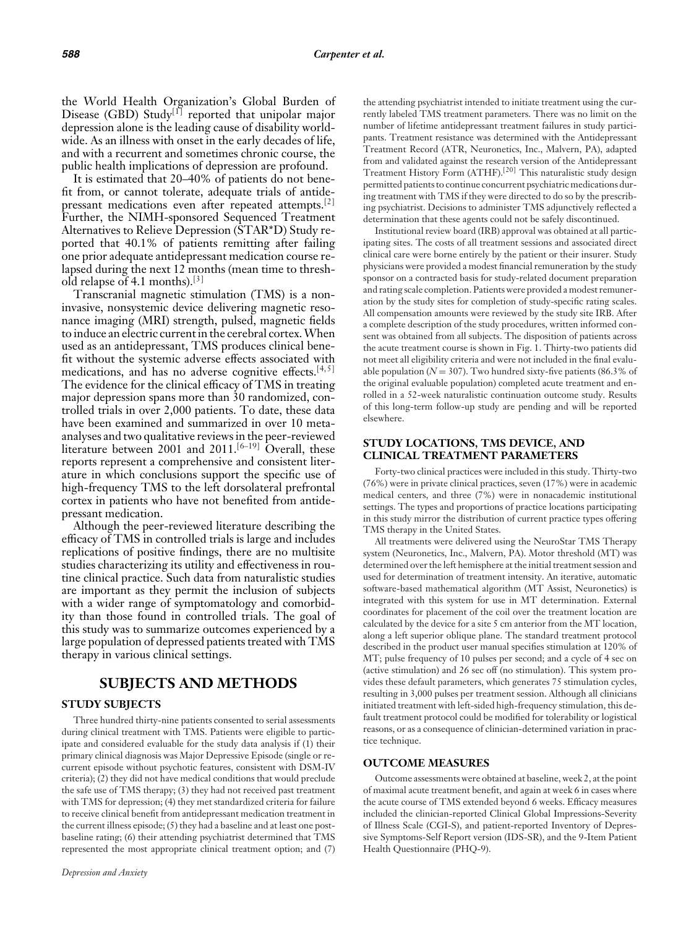the World Health Organization's Global Burden of Disease (GBD) Study<sup>[1]</sup> reported that unipolar major depression alone is the leading cause of disability worldwide. As an illness with onset in the early decades of life, and with a recurrent and sometimes chronic course, the public health implications of depression are profound.

It is estimated that 20–40% of patients do not benefit from, or cannot tolerate, adequate trials of antidepressant medications even after repeated attempts.[2] Further, the NIMH-sponsored Sequenced Treatment Alternatives to Relieve Depression (STAR\*D) Study reported that 40.1% of patients remitting after failing one prior adequate antidepressant medication course relapsed during the next 12 months (mean time to threshold relapse of 4.1 months).[3]

Transcranial magnetic stimulation (TMS) is a noninvasive, nonsystemic device delivering magnetic resonance imaging (MRI) strength, pulsed, magnetic fields to induce an electric current in the cerebral cortex.When used as an antidepressant, TMS produces clinical benefit without the systemic adverse effects associated with medications, and has no adverse cognitive effects. $[4, 5]$ The evidence for the clinical efficacy of TMS in treating major depression spans more than 30 randomized, controlled trials in over 2,000 patients. To date, these data have been examined and summarized in over 10 metaanalyses and two qualitative reviews in the peer-reviewed literature between 2001 and 2011.<sup>[6-19]</sup> Overall, these reports represent a comprehensive and consistent literature in which conclusions support the specific use of high-frequency TMS to the left dorsolateral prefrontal cortex in patients who have not benefited from antidepressant medication.

Although the peer-reviewed literature describing the efficacy of TMS in controlled trials is large and includes replications of positive findings, there are no multisite studies characterizing its utility and effectiveness in routine clinical practice. Such data from naturalistic studies are important as they permit the inclusion of subjects with a wider range of symptomatology and comorbidity than those found in controlled trials. The goal of this study was to summarize outcomes experienced by a large population of depressed patients treated with TMS therapy in various clinical settings.

### **SUBJECTS AND METHODS**

#### **STUDY SUBJECTS**

Three hundred thirty-nine patients consented to serial assessments during clinical treatment with TMS. Patients were eligible to participate and considered evaluable for the study data analysis if (1) their primary clinical diagnosis was Major Depressive Episode (single or recurrent episode without psychotic features, consistent with DSM-IV criteria); (2) they did not have medical conditions that would preclude the safe use of TMS therapy; (3) they had not received past treatment with TMS for depression; (4) they met standardized criteria for failure to receive clinical benefit from antidepressant medication treatment in the current illness episode; (5) they had a baseline and at least one postbaseline rating; (6) their attending psychiatrist determined that TMS represented the most appropriate clinical treatment option; and (7)

the attending psychiatrist intended to initiate treatment using the currently labeled TMS treatment parameters. There was no limit on the number of lifetime antidepressant treatment failures in study participants. Treatment resistance was determined with the Antidepressant Treatment Record (ATR, Neuronetics, Inc., Malvern, PA), adapted from and validated against the research version of the Antidepressant Treatment History Form (ATHF).<sup>[20]</sup> This naturalistic study design permitted patients to continue concurrent psychiatric medications during treatment with TMS if they were directed to do so by the prescribing psychiatrist. Decisions to administer TMS adjunctively reflected a determination that these agents could not be safely discontinued.

Institutional review board (IRB) approval was obtained at all participating sites. The costs of all treatment sessions and associated direct clinical care were borne entirely by the patient or their insurer. Study physicians were provided a modest financial remuneration by the study sponsor on a contracted basis for study-related document preparation and rating scale completion. Patients were provided a modest remuneration by the study sites for completion of study-specific rating scales. All compensation amounts were reviewed by the study site IRB. After a complete description of the study procedures, written informed consent was obtained from all subjects. The disposition of patients across the acute treatment course is shown in Fig. 1. Thirty-two patients did not meet all eligibility criteria and were not included in the final evaluable population ( $N = 307$ ). Two hundred sixty-five patients (86.3% of the original evaluable population) completed acute treatment and enrolled in a 52-week naturalistic continuation outcome study. Results of this long-term follow-up study are pending and will be reported elsewhere.

#### **STUDY LOCATIONS, TMS DEVICE, AND CLINICAL TREATMENT PARAMETERS**

Forty-two clinical practices were included in this study. Thirty-two (76%) were in private clinical practices, seven (17%) were in academic medical centers, and three (7%) were in nonacademic institutional settings. The types and proportions of practice locations participating in this study mirror the distribution of current practice types offering TMS therapy in the United States.

All treatments were delivered using the NeuroStar TMS Therapy system (Neuronetics, Inc., Malvern, PA). Motor threshold (MT) was determined over the left hemisphere at the initial treatment session and used for determination of treatment intensity. An iterative, automatic software-based mathematical algorithm (MT Assist, Neuronetics) is integrated with this system for use in MT determination. External coordinates for placement of the coil over the treatment location are calculated by the device for a site 5 cm anterior from the MT location, along a left superior oblique plane. The standard treatment protocol described in the product user manual specifies stimulation at 120% of MT; pulse frequency of 10 pulses per second; and a cycle of 4 sec on (active stimulation) and 26 sec off (no stimulation). This system provides these default parameters, which generates 75 stimulation cycles, resulting in 3,000 pulses per treatment session. Although all clinicians initiated treatment with left-sided high-frequency stimulation, this default treatment protocol could be modified for tolerability or logistical reasons, or as a consequence of clinician-determined variation in practice technique.

#### **OUTCOME MEASURES**

Outcome assessments were obtained at baseline, week 2, at the point of maximal acute treatment benefit, and again at week 6 in cases where the acute course of TMS extended beyond 6 weeks. Efficacy measures included the clinician-reported Clinical Global Impressions-Severity of Illness Scale (CGI-S), and patient-reported Inventory of Depressive Symptoms-Self Report version (IDS-SR), and the 9-Item Patient Health Questionnaire (PHQ-9).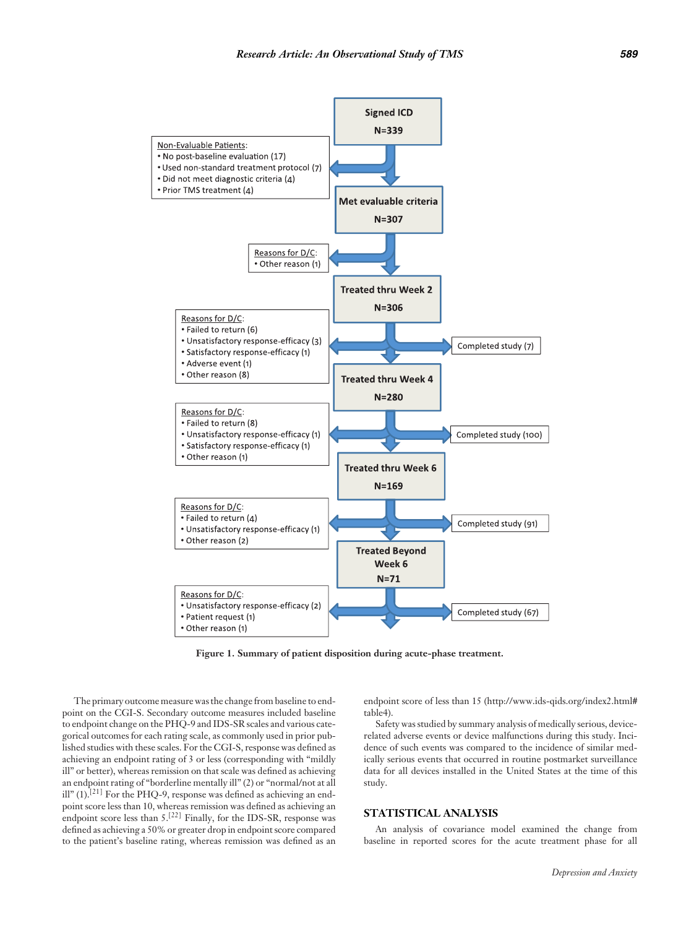

**Figure 1. Summary of patient disposition during acute-phase treatment.**

The primary outcome measure was the change from baseline to endpoint on the CGI-S. Secondary outcome measures included baseline to endpoint change on the PHQ-9 and IDS-SR scales and various categorical outcomes for each rating scale, as commonly used in prior published studies with these scales. For the CGI-S, response was defined as achieving an endpoint rating of 3 or less (corresponding with "mildly ill" or better), whereas remission on that scale was defined as achieving an endpoint rating of "borderline mentally ill" (2) or "normal/not at all ill" (1).<sup>[21]</sup> For the PHQ-9, response was defined as achieving an endpoint score less than 10, whereas remission was defined as achieving an endpoint score less than 5.<sup>[22]</sup> Finally, for the IDS-SR, response was defined as achieving a 50% or greater drop in endpoint score compared to the patient's baseline rating, whereas remission was defined as an endpoint score of less than 15 (http://www.ids-qids.org/index2.html# table4).

Safety was studied by summary analysis of medically serious, devicerelated adverse events or device malfunctions during this study. Incidence of such events was compared to the incidence of similar medically serious events that occurred in routine postmarket surveillance data for all devices installed in the United States at the time of this study.

#### **STATISTICAL ANALYSIS**

An analysis of covariance model examined the change from baseline in reported scores for the acute treatment phase for all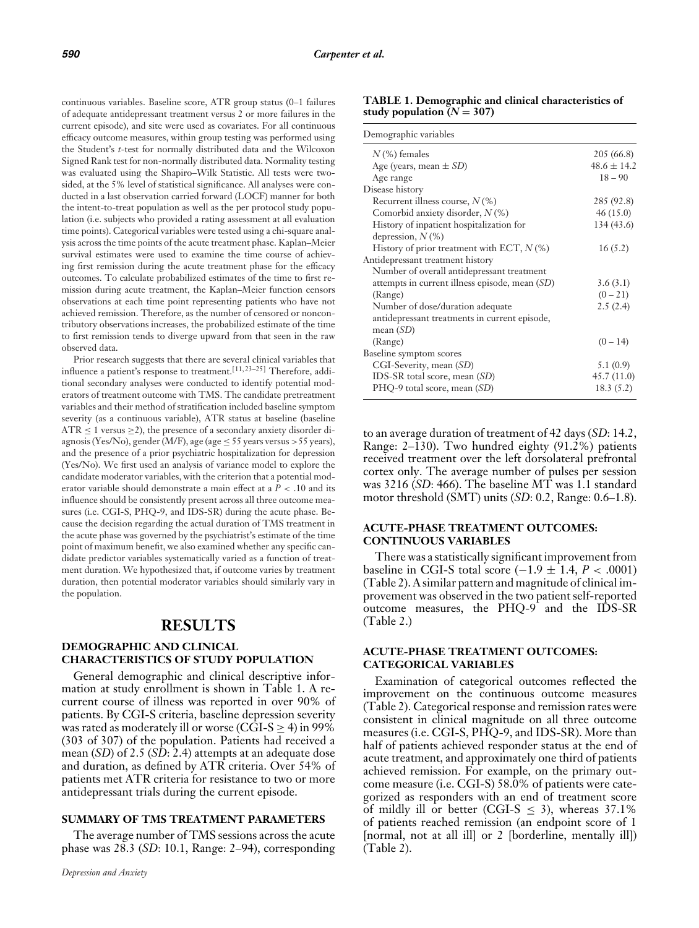continuous variables. Baseline score, ATR group status (0–1 failures of adequate antidepressant treatment versus 2 or more failures in the current episode), and site were used as covariates. For all continuous efficacy outcome measures, within group testing was performed using the Student's *t*-test for normally distributed data and the Wilcoxon Signed Rank test for non-normally distributed data. Normality testing was evaluated using the Shapiro–Wilk Statistic. All tests were twosided, at the 5% level of statistical significance. All analyses were conducted in a last observation carried forward (LOCF) manner for both the intent-to-treat population as well as the per protocol study population (i.e. subjects who provided a rating assessment at all evaluation time points). Categorical variables were tested using a chi-square analysis across the time points of the acute treatment phase. Kaplan–Meier survival estimates were used to examine the time course of achieving first remission during the acute treatment phase for the efficacy outcomes. To calculate probabilized estimates of the time to first remission during acute treatment, the Kaplan–Meier function censors observations at each time point representing patients who have not achieved remission. Therefore, as the number of censored or noncontributory observations increases, the probabilized estimate of the time to first remission tends to diverge upward from that seen in the raw observed data.

Prior research suggests that there are several clinical variables that influence a patient's response to treatment.<sup>[11,23-25]</sup> Therefore, additional secondary analyses were conducted to identify potential moderators of treatment outcome with TMS. The candidate pretreatment variables and their method of stratification included baseline symptom severity (as a continuous variable), ATR status at baseline (baseline  $ATR \le 1$  versus  $\ge 2$ ), the presence of a secondary anxiety disorder diagnosis (Yes/No), gender (M/F), age (age  $\leq$  55 years versus > 55 years), and the presence of a prior psychiatric hospitalization for depression (Yes/No). We first used an analysis of variance model to explore the candidate moderator variables, with the criterion that a potential moderator variable should demonstrate a main effect at a *P* < .10 and its influence should be consistently present across all three outcome measures (i.e. CGI-S, PHQ-9, and IDS-SR) during the acute phase. Because the decision regarding the actual duration of TMS treatment in the acute phase was governed by the psychiatrist's estimate of the time point of maximum benefit, we also examined whether any specific candidate predictor variables systematically varied as a function of treatment duration. We hypothesized that, if outcome varies by treatment duration, then potential moderator variables should similarly vary in the population.

### **RESULTS**

#### **DEMOGRAPHIC AND CLINICAL CHARACTERISTICS OF STUDY POPULATION**

General demographic and clinical descriptive information at study enrollment is shown in Table 1. A recurrent course of illness was reported in over 90% of patients. By CGI-S criteria, baseline depression severity was rated as moderately ill or worse (CGI-S  $\geq$  4) in 99% (303 of 307) of the population. Patients had received a mean (*SD*) of 2.5 (*SD*: 2.4) attempts at an adequate dose and duration, as defined by ATR criteria. Over 54% of patients met ATR criteria for resistance to two or more antidepressant trials during the current episode.

#### **SUMMARY OF TMS TREATMENT PARAMETERS**

The average number of TMS sessions across the acute phase was 28.3 (*SD*: 10.1, Range: 2–94), corresponding

#### **TABLE 1. Demographic and clinical characteristics of study population (***N* = **307)**

| Demographic variables                          |                 |
|------------------------------------------------|-----------------|
| $N$ (%) females                                | 205 (66.8)      |
| Age (years, mean $\pm SD$ )                    | $48.6 \pm 14.2$ |
| Age range                                      | $18 - 90$       |
| Disease history                                |                 |
| Recurrent illness course, $N$ (%)              | 285 (92.8)      |
| Comorbid anxiety disorder, $N(\%)$             | 46(15.0)        |
| History of inpatient hospitalization for       | 134(43.6)       |
| depression, $N(\%)$                            |                 |
| History of prior treatment with ECT, $N$ (%)   | 16(5.2)         |
| Antidepressant treatment history               |                 |
| Number of overall antidepressant treatment     |                 |
| attempts in current illness episode, mean (SD) | 3.6(3.1)        |
| (Range)                                        | $(0 - 21)$      |
| Number of dose/duration adequate               | 2.5(2.4)        |
| antidepressant treatments in current episode,  |                 |
| mean $(SD)$                                    |                 |
| (Range)                                        | $(0 - 14)$      |
| Baseline symptom scores                        |                 |
| CGI-Severity, mean (SD)                        | 5.1(0.9)        |
| IDS-SR total score, mean (SD)                  | 45.7 (11.0)     |
| PHQ-9 total score, mean (SD)                   | 18.3(5.2)       |

to an average duration of treatment of 42 days (*SD*: 14.2, Range: 2–130). Two hundred eighty (91.2%) patients received treatment over the left dorsolateral prefrontal cortex only. The average number of pulses per session was 3216 (*SD*: 466). The baseline MT was 1.1 standard motor threshold (SMT) units (*SD*: 0.2, Range: 0.6–1.8).

#### **ACUTE-PHASE TREATMENT OUTCOMES: CONTINUOUS VARIABLES**

There was a statistically significant improvement from baseline in CGI-S total score  $(-1.9 \pm 1.4, P < .0001)$ (Table 2). A similar pattern and magnitude of clinical improvement was observed in the two patient self-reported outcome measures, the PHQ-9 and the IDS-SR (Table 2.)

#### **ACUTE-PHASE TREATMENT OUTCOMES: CATEGORICAL VARIABLES**

Examination of categorical outcomes reflected the improvement on the continuous outcome measures (Table 2). Categorical response and remission rates were consistent in clinical magnitude on all three outcome measures (i.e. CGI-S, PHQ-9, and IDS-SR). More than half of patients achieved responder status at the end of acute treatment, and approximately one third of patients achieved remission. For example, on the primary outcome measure (i.e. CGI-S) 58.0% of patients were categorized as responders with an end of treatment score of mildly ill or better (CGI-S  $\leq$  3), whereas 37.1% of patients reached remission (an endpoint score of 1 [normal, not at all ill] or 2 [borderline, mentally ill]) (Table 2).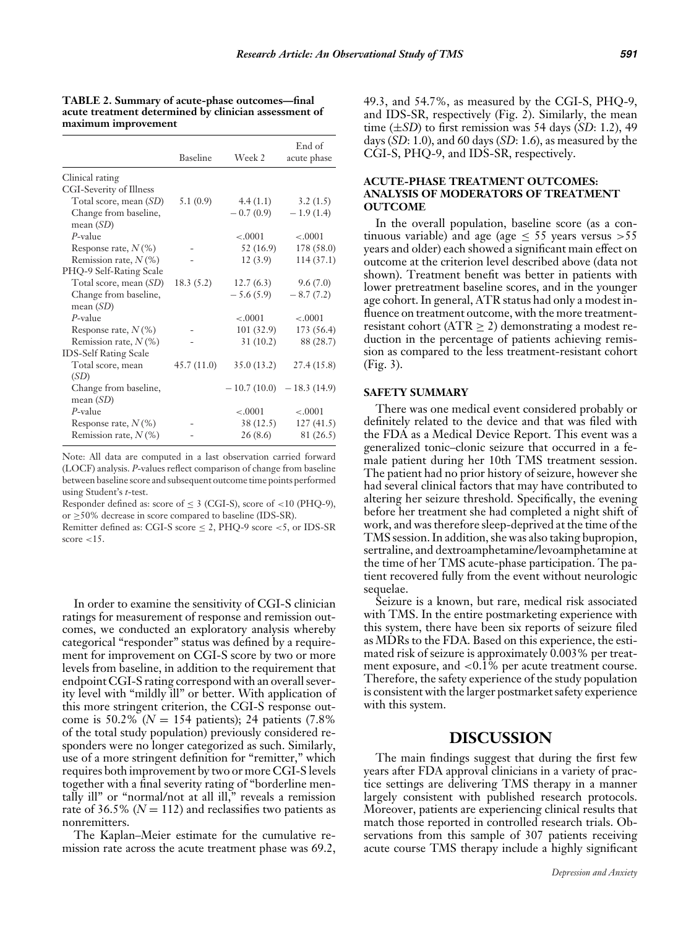|                                      | Baseline   | Week 2      | End of<br>acute phase     |
|--------------------------------------|------------|-------------|---------------------------|
| Clinical rating                      |            |             |                           |
| CGI-Severity of Illness              |            |             |                           |
| Total score, mean (SD)               | 5.1(0.9)   | 4.4(1.1)    | 3.2(1.5)                  |
| Change from baseline,<br>mean (SD)   |            | $-0.7(0.9)$ | $-1.9(1.4)$               |
| $P$ -value                           |            | $-.0001$    | $-.0001$                  |
| Response rate, $N$ (%)               |            | 52 (16.9)   | 178 (58.0)                |
| Remission rate, $N$ (%)              |            | 12(3.9)     | 114(37.1)                 |
| PHQ-9 Self-Rating Scale              |            |             |                           |
| Total score, mean (SD)               | 18.3(5.2)  | 12.7(6.3)   | 9.6(7.0)                  |
| Change from baseline,<br>mean (SD)   |            | $-5.6(5.9)$ | $-8.7(7.2)$               |
| $P$ -value                           |            | $-.0001$    | $-.0001$                  |
| Response rate, $N(\%)$               |            | 101(32.9)   | 173(56.4)                 |
| Remission rate, $N(\%)$              |            | 31(10.2)    | 88 (28.7)                 |
| <b>IDS-Self Rating Scale</b>         |            |             |                           |
| Total score, mean                    | 45.7(11.0) | 35.0(13.2)  | 27.4 (15.8)               |
| (SD)                                 |            |             |                           |
| Change from baseline,<br>mean $(SD)$ |            |             | $-10.7(10.0) -18.3(14.9)$ |
| $P$ -value                           |            | $-.0001$    | $-.0001$                  |
| Response rate, $N$ (%)               |            | 38 (12.5)   | 127(41.5)                 |
| Remission rate, $N(\%)$              |            | 26 (8.6)    | 81 (26.5)                 |

**TABLE 2. Summary of acute-phase outcomes—final acute treatment determined by clinician assessment of maximum improvement**

Note: All data are computed in a last observation carried forward (LOCF) analysis. *P*-values reflect comparison of change from baseline between baseline score and subsequent outcome time points performed using Student's *t*-test.

Responder defined as: score of  $\leq$  3 (CGI-S), score of <10 (PHQ-9), or  $\geq$ 50% decrease in score compared to baseline (IDS-SR).

Remitter defined as: CGI-S score  $\leq$  2, PHQ-9 score  $<$  5, or IDS-SR score  $<$ 15.

In order to examine the sensitivity of CGI-S clinician ratings for measurement of response and remission outcomes, we conducted an exploratory analysis whereby categorical "responder" status was defined by a requirement for improvement on CGI-S score by two or more levels from baseline, in addition to the requirement that endpoint CGI-S rating correspond with an overall severity level with "mildly ill" or better. With application of this more stringent criterion, the CGI-S response outcome is 50.2% ( $N = 154$  patients); 24 patients (7.8%) of the total study population) previously considered responders were no longer categorized as such. Similarly, use of a more stringent definition for "remitter," which requires both improvement by two or more CGI-S levels together with a final severity rating of "borderline mentally ill" or "normal/not at all ill," reveals a remission rate of 36.5% ( $N = 112$ ) and reclassifies two patients as nonremitters.

The Kaplan–Meier estimate for the cumulative remission rate across the acute treatment phase was 69.2,

49.3, and 54.7%, as measured by the CGI-S, PHQ-9, and IDS-SR, respectively (Fig. 2). Similarly, the mean time (±*SD*) to first remission was 54 days (*SD*: 1.2), 49 days (*SD*: 1.0), and 60 days (*SD*: 1.6), as measured by the CGI-S, PHQ-9, and IDS-SR, respectively.

#### **ACUTE-PHASE TREATMENT OUTCOMES: ANALYSIS OF MODERATORS OF TREATMENT OUTCOME**

In the overall population, baseline score (as a continuous variable) and age (age  $\leq 55$  years versus  $> 55$ years and older) each showed a significant main effect on outcome at the criterion level described above (data not shown). Treatment benefit was better in patients with lower pretreatment baseline scores, and in the younger age cohort. In general, ATR status had only a modest influence on treatment outcome, with the more treatmentresistant cohort ( $ATR \geq 2$ ) demonstrating a modest reduction in the percentage of patients achieving remission as compared to the less treatment-resistant cohort (Fig. 3).

#### **SAFETY SUMMARY**

There was one medical event considered probably or definitely related to the device and that was filed with the FDA as a Medical Device Report. This event was a generalized tonic–clonic seizure that occurred in a female patient during her 10th TMS treatment session. The patient had no prior history of seizure, however she had several clinical factors that may have contributed to altering her seizure threshold. Specifically, the evening before her treatment she had completed a night shift of work, and was therefore sleep-deprived at the time of the TMS session. In addition, she was also taking bupropion, sertraline, and dextroamphetamine/levoamphetamine at the time of her TMS acute-phase participation. The patient recovered fully from the event without neurologic sequelae.

Seizure is a known, but rare, medical risk associated with TMS. In the entire postmarketing experience with this system, there have been six reports of seizure filed as MDRs to the FDA. Based on this experience, the estimated risk of seizure is approximately 0.003% per treatment exposure, and <0.1% per acute treatment course. Therefore, the safety experience of the study population is consistent with the larger postmarket safety experience with this system.

#### **DISCUSSION**

The main findings suggest that during the first few years after FDA approval clinicians in a variety of practice settings are delivering TMS therapy in a manner largely consistent with published research protocols. Moreover, patients are experiencing clinical results that match those reported in controlled research trials. Observations from this sample of 307 patients receiving acute course TMS therapy include a highly significant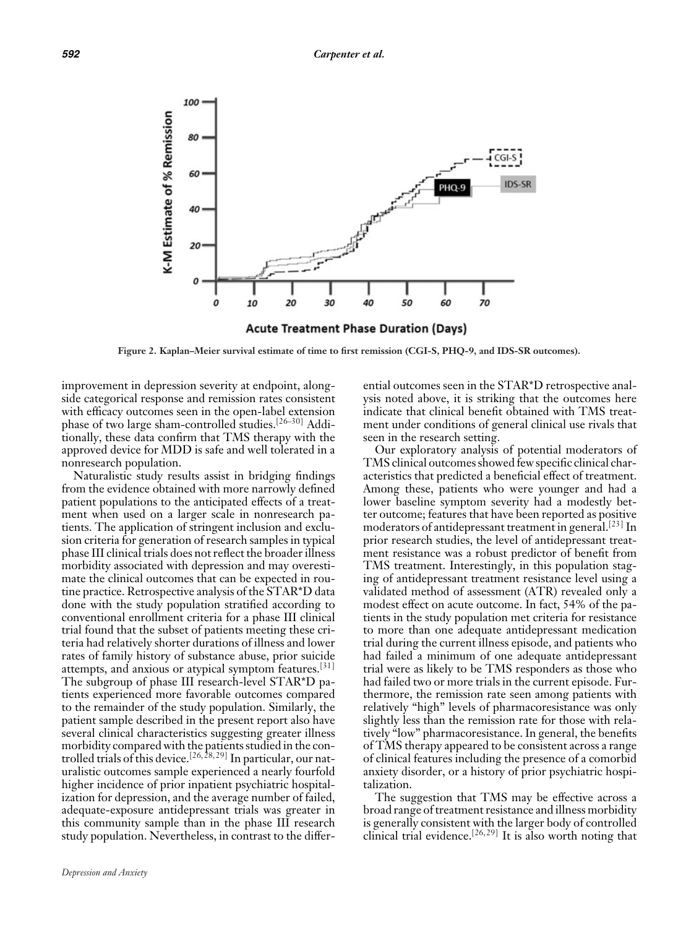

**Figure 2. Kaplan–Meier survival estimate of time to first remission (CGI-S, PHQ-9, and IDS-SR outcomes).**

improvement in depression severity at endpoint, alongside categorical response and remission rates consistent with efficacy outcomes seen in the open-label extension phase of two large sham-controlled studies.[26–30] Additionally, these data confirm that TMS therapy with the approved device for MDD is safe and well tolerated in a nonresearch population.

Naturalistic study results assist in bridging findings from the evidence obtained with more narrowly defined patient populations to the anticipated effects of a treatment when used on a larger scale in nonresearch patients. The application of stringent inclusion and exclusion criteria for generation of research samples in typical phase III clinical trials does not reflect the broader illness morbidity associated with depression and may overestimate the clinical outcomes that can be expected in routine practice. Retrospective analysis of the STAR\*D data done with the study population stratified according to conventional enrollment criteria for a phase III clinical trial found that the subset of patients meeting these criteria had relatively shorter durations of illness and lower rates of family history of substance abuse, prior suicide attempts, and anxious or atypical symptom features.<sup>[31]</sup> The subgroup of phase III research-level STAR\*D patients experienced more favorable outcomes compared to the remainder of the study population. Similarly, the patient sample described in the present report also have several clinical characteristics suggesting greater illness morbidity compared with the patients studied in the controlled trials of this device.<sup>[26, 28, 29]</sup> In particular, our naturalistic outcomes sample experienced a nearly fourfold higher incidence of prior inpatient psychiatric hospitalization for depression, and the average number of failed, adequate-exposure antidepressant trials was greater in this community sample than in the phase III research study population. Nevertheless, in contrast to the differ-

ential outcomes seen in the STAR\*D retrospective analysis noted above, it is striking that the outcomes here indicate that clinical benefit obtained with TMS treatment under conditions of general clinical use rivals that seen in the research setting.

Our exploratory analysis of potential moderators of TMS clinical outcomes showed few specific clinical characteristics that predicted a beneficial effect of treatment. Among these, patients who were younger and had a lower baseline symptom severity had a modestly better outcome; features that have been reported as positive moderators of antidepressant treatment in general.[23] In prior research studies, the level of antidepressant treatment resistance was a robust predictor of benefit from TMS treatment. Interestingly, in this population staging of antidepressant treatment resistance level using a validated method of assessment (ATR) revealed only a modest effect on acute outcome. In fact, 54% of the patients in the study population met criteria for resistance to more than one adequate antidepressant medication trial during the current illness episode, and patients who had failed a minimum of one adequate antidepressant trial were as likely to be TMS responders as those who had failed two or more trials in the current episode. Furthermore, the remission rate seen among patients with relatively "high" levels of pharmacoresistance was only slightly less than the remission rate for those with relatively "low" pharmacoresistance. In general, the benefits of TMS therapy appeared to be consistent across a range of clinical features including the presence of a comorbid anxiety disorder, or a history of prior psychiatric hospitalization.

The suggestion that TMS may be effective across a broad range of treatment resistance and illness morbidity is generally consistent with the larger body of controlled clinical trial evidence.<sup>[26,29]</sup> It is also worth noting that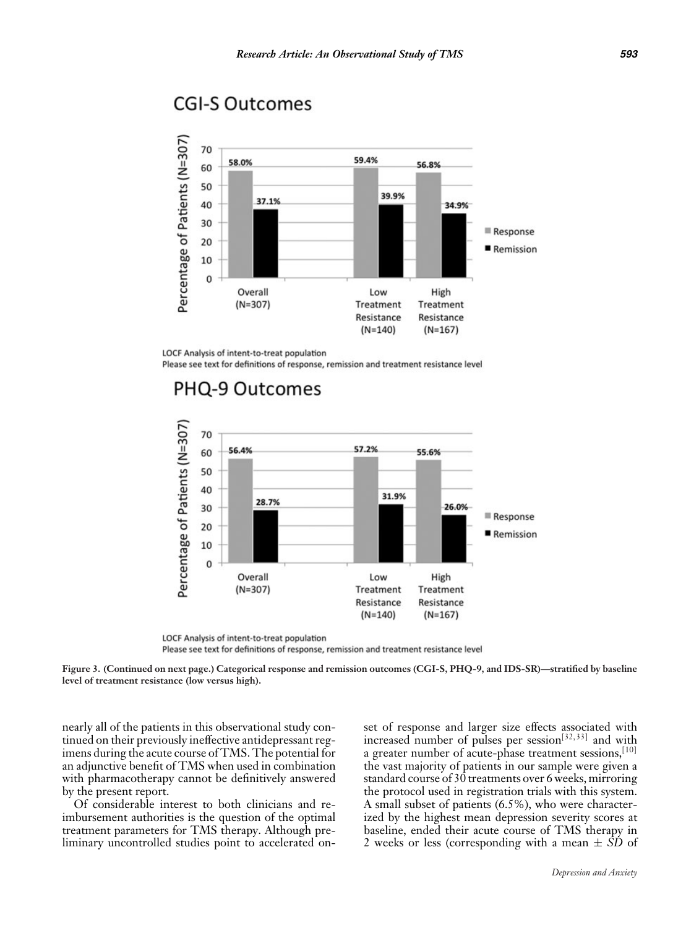

# **CGI-S Outcomes**

LOCF Analysis of intent-to-treat population Please see text for definitions of response, remission and treatment resistance level



# PHQ-9 Outcomes

LOCF Analysis of intent-to-treat population Please see text for definitions of response, remission and treatment resistance level

**Figure 3. (Continued on next page.) Categorical response and remission outcomes (CGI-S, PHQ-9, and IDS-SR)—stratified by baseline level of treatment resistance (low versus high).**

nearly all of the patients in this observational study continued on their previously ineffective antidepressant regimens during the acute course of TMS. The potential for an adjunctive benefit of TMS when used in combination with pharmacotherapy cannot be definitively answered by the present report.

Of considerable interest to both clinicians and reimbursement authorities is the question of the optimal treatment parameters for TMS therapy. Although preliminary uncontrolled studies point to accelerated onset of response and larger size effects associated with increased number of pulses per session<sup>[32, 33]</sup> and with a greater number of acute-phase treatment sessions,<sup>[10]</sup> the vast majority of patients in our sample were given a standard course of 30 treatments over 6 weeks, mirroring the protocol used in registration trials with this system. A small subset of patients (6.5%), who were characterized by the highest mean depression severity scores at baseline, ended their acute course of TMS therapy in 2 weeks or less (corresponding with a mean ± *SD* of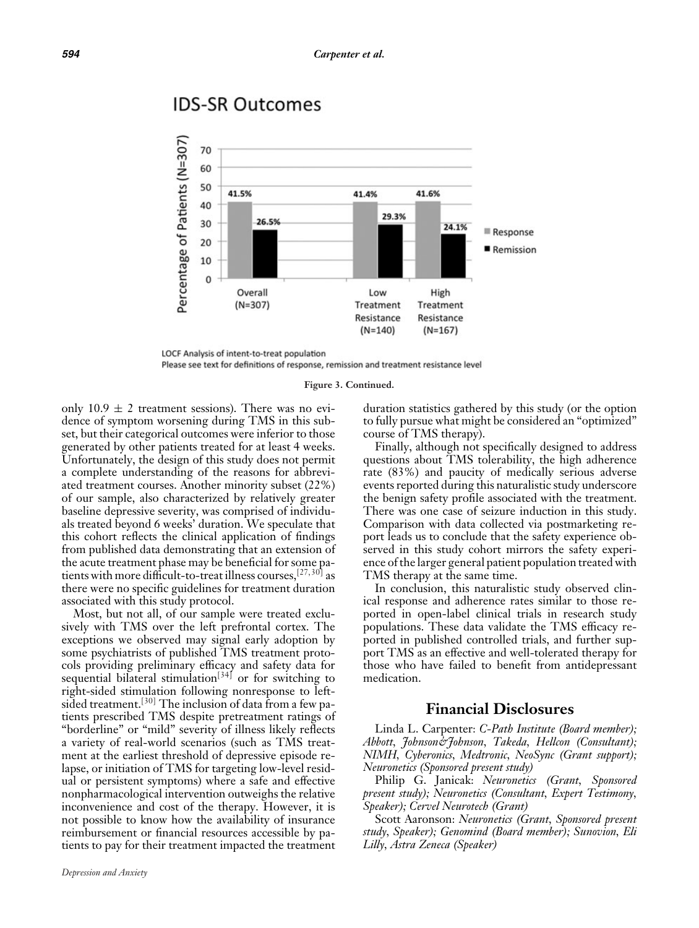

# **IDS-SR Outcomes**

LOCF Analysis of intent-to-treat population Please see text for definitions of response, remission and treatment resistance level



only 10.9  $\pm$  2 treatment sessions). There was no evidence of symptom worsening during TMS in this subset, but their categorical outcomes were inferior to those generated by other patients treated for at least 4 weeks. Unfortunately, the design of this study does not permit a complete understanding of the reasons for abbreviated treatment courses. Another minority subset (22%) of our sample, also characterized by relatively greater baseline depressive severity, was comprised of individuals treated beyond 6 weeks' duration. We speculate that this cohort reflects the clinical application of findings from published data demonstrating that an extension of the acute treatment phase may be beneficial for some patients with more difficult-to-treat illness courses,[27, 30] as there were no specific guidelines for treatment duration associated with this study protocol.

Most, but not all, of our sample were treated exclusively with TMS over the left prefrontal cortex. The exceptions we observed may signal early adoption by some psychiatrists of published TMS treatment protocols providing preliminary efficacy and safety data for sequential bilateral stimulation<sup>[34]</sup> or for switching to right-sided stimulation following nonresponse to leftsided treatment.<sup>[30]</sup> The inclusion of data from a few patients prescribed TMS despite pretreatment ratings of "borderline" or "mild" severity of illness likely reflects a variety of real-world scenarios (such as TMS treatment at the earliest threshold of depressive episode relapse, or initiation of TMS for targeting low-level residual or persistent symptoms) where a safe and effective nonpharmacological intervention outweighs the relative inconvenience and cost of the therapy. However, it is not possible to know how the availability of insurance reimbursement or financial resources accessible by patients to pay for their treatment impacted the treatment duration statistics gathered by this study (or the option to fully pursue what might be considered an "optimized" course of TMS therapy).

Finally, although not specifically designed to address questions about TMS tolerability, the high adherence rate (83%) and paucity of medically serious adverse events reported during this naturalistic study underscore the benign safety profile associated with the treatment. There was one case of seizure induction in this study. Comparison with data collected via postmarketing report leads us to conclude that the safety experience observed in this study cohort mirrors the safety experience of the larger general patient population treated with TMS therapy at the same time.

In conclusion, this naturalistic study observed clinical response and adherence rates similar to those reported in open-label clinical trials in research study populations. These data validate the TMS efficacy reported in published controlled trials, and further support TMS as an effective and well-tolerated therapy for those who have failed to benefit from antidepressant medication.

### **Financial Disclosures**

Linda L. Carpenter: *C-Path Institute (Board member); Abbott, Johnson&Johnson, Takeda, Hellcon (Consultant); NIMH, Cyberonics, Medtronic, NeoSync (Grant support); Neuronetics (Sponsored present study)*

Philip G. Janicak: *Neuronetics (Grant, Sponsored present study); Neuronetics (Consultant, Expert Testimony, Speaker); Cervel Neurotech (Grant)*

Scott Aaronson: *Neuronetics (Grant, Sponsored present study, Speaker); Genomind (Board member); Sunovion, Eli Lilly, Astra Zeneca (Speaker)*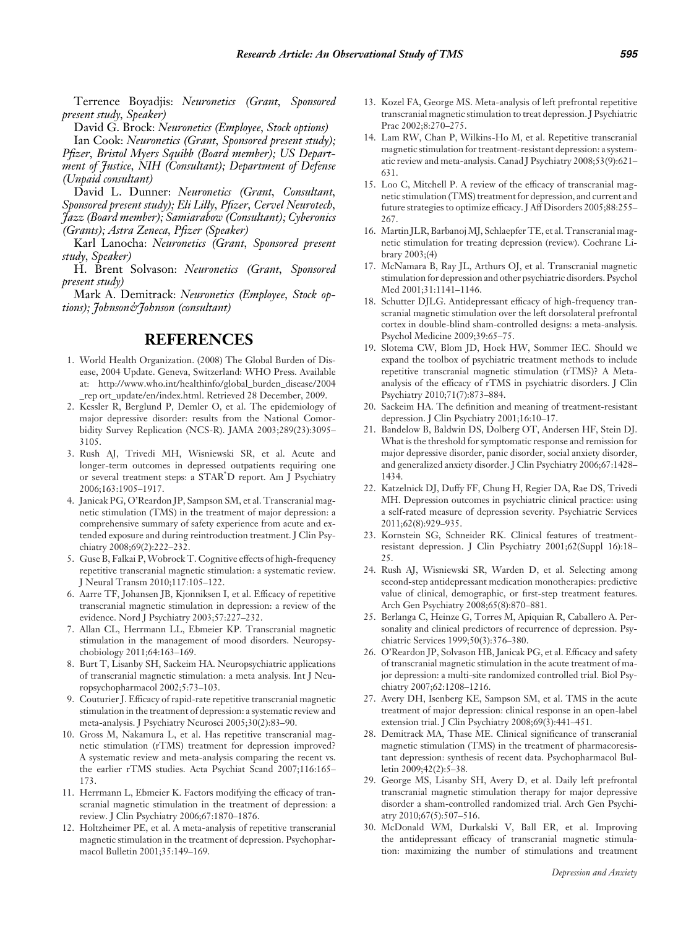Terrence Boyadjis: *Neuronetics (Grant, Sponsored present study, Speaker)*

David G. Brock: *Neuronetics (Employee, Stock options)*

Ian Cook: *Neuronetics (Grant, Sponsored present study); Pfizer, Bristol Myers Squibb (Board member); US Department of Justice, NIH (Consultant); Department of Defense (Unpaid consultant)*

David L. Dunner: *Neuronetics (Grant, Consultant, Sponsored present study); Eli Lilly, Pfizer, Cervel Neurotech, Jazz (Board member); Samiarabow (Consultant); Cyberonics (Grants); Astra Zeneca, Pfizer (Speaker)*

Karl Lanocha: *Neuronetics (Grant, Sponsored present study, Speaker)*

H. Brent Solvason: *Neuronetics (Grant, Sponsored present study)*

Mark A. Demitrack: *Neuronetics (Employee, Stock options); Johnson&Johnson (consultant)*

### **REFERENCES**

- 1. World Health Organization. (2008) The Global Burden of Disease, 2004 Update. Geneva, Switzerland: WHO Press. Available at: http://www.who.int/healthinfo/global\_burden\_disease/2004 \_rep ort\_update/en/index.html. Retrieved 28 December, 2009.
- 2. Kessler R, Berglund P, Demler O, et al. The epidemiology of major depressive disorder: results from the National Comorbidity Survey Replication (NCS-R). JAMA 2003;289(23):3095– 3105.
- 3. Rush AJ, Trivedi MH, Wisniewski SR, et al. Acute and longer-term outcomes in depressed outpatients requiring one or several treatment steps: a STAR\* D report. Am J Psychiatry 2006;163:1905–1917.
- 4. Janicak PG, O'Reardon JP, Sampson SM, et al. Transcranial magnetic stimulation (TMS) in the treatment of major depression: a comprehensive summary of safety experience from acute and extended exposure and during reintroduction treatment. J Clin Psychiatry 2008;69(2):222–232.
- 5. Guse B, Falkai P,Wobrock T. Cognitive effects of high-frequency repetitive transcranial magnetic stimulation: a systematic review. J Neural Transm 2010;117:105–122.
- 6. Aarre TF, Johansen JB, Kjonniksen I, et al. Efficacy of repetitive transcranial magnetic stimulation in depression: a review of the evidence. Nord J Psychiatry 2003;57:227–232.
- 7. Allan CL, Herrmann LL, Ebmeier KP. Transcranial magnetic stimulation in the management of mood disorders. Neuropsychobiology 2011;64:163–169.
- 8. Burt T, Lisanby SH, Sackeim HA. Neuropsychiatric applications of transcranial magnetic stimulation: a meta analysis. Int J Neuropsychopharmacol 2002;5:73–103.
- 9. Couturier J. Efficacy of rapid-rate repetitive transcranial magnetic stimulation in the treatment of depression: a systematic review and meta-analysis. J Psychiatry Neurosci 2005;30(2):83–90.
- 10. Gross M, Nakamura L, et al. Has repetitive transcranial magnetic stimulation (rTMS) treatment for depression improved? A systematic review and meta-analysis comparing the recent vs. the earlier rTMS studies. Acta Psychiat Scand 2007;116:165– 173.
- 11. Herrmann L, Ebmeier K. Factors modifying the efficacy of transcranial magnetic stimulation in the treatment of depression: a review. J Clin Psychiatry 2006;67:1870–1876.
- 12. Holtzheimer PE, et al. A meta-analysis of repetitive transcranial magnetic stimulation in the treatment of depression. Psychopharmacol Bulletin 2001;35:149–169.
- 13. Kozel FA, George MS. Meta-analysis of left prefrontal repetitive transcranial magnetic stimulation to treat depression. J Psychiatric Prac 2002;8:270–275.
- 14. Lam RW, Chan P, Wilkins-Ho M, et al. Repetitive transcranial magnetic stimulation for treatment-resistant depression: a systematic review and meta-analysis. Canad J Psychiatry 2008;53(9):621– 631.
- 15. Loo C, Mitchell P. A review of the efficacy of transcranial magnetic stimulation (TMS) treatment for depression, and current and future strategies to optimize efficacy. J Aff Disorders 2005;88:255– 267.
- 16. Martin JLR, Barbanoj MJ, Schlaepfer TE, et al. Transcranial magnetic stimulation for treating depression (review). Cochrane Library 2003;(4)
- 17. McNamara B, Ray JL, Arthurs OJ, et al. Transcranial magnetic stimulation for depression and other psychiatric disorders. Psychol Med 2001;31:1141–1146.
- 18. Schutter DJLG. Antidepressant efficacy of high-frequency transcranial magnetic stimulation over the left dorsolateral prefrontal cortex in double-blind sham-controlled designs: a meta-analysis. Psychol Medicine 2009;39:65–75.
- 19. Slotema CW, Blom JD, Hoek HW, Sommer IEC. Should we expand the toolbox of psychiatric treatment methods to include repetitive transcranial magnetic stimulation (rTMS)? A Metaanalysis of the efficacy of rTMS in psychiatric disorders. J Clin Psychiatry 2010;71(7):873–884.
- 20. Sackeim HA. The definition and meaning of treatment-resistant depression. J Clin Psychiatry 2001;16:10–17.
- 21. Bandelow B, Baldwin DS, Dolberg OT, Andersen HF, Stein DJ. What is the threshold for symptomatic response and remission for major depressive disorder, panic disorder, social anxiety disorder, and generalized anxiety disorder. J Clin Psychiatry 2006;67:1428– 1434.
- 22. Katzelnick DJ, Duffy FF, Chung H, Regier DA, Rae DS, Trivedi MH. Depression outcomes in psychiatric clinical practice: using a self-rated measure of depression severity. Psychiatric Services 2011;62(8):929–935.
- 23. Kornstein SG, Schneider RK. Clinical features of treatmentresistant depression. J Clin Psychiatry 2001;62(Suppl 16):18– 25.
- 24. Rush AJ, Wisniewski SR, Warden D, et al. Selecting among second-step antidepressant medication monotherapies: predictive value of clinical, demographic, or first-step treatment features. Arch Gen Psychiatry 2008;65(8):870–881.
- 25. Berlanga C, Heinze G, Torres M, Apiquian R, Caballero A. Personality and clinical predictors of recurrence of depression. Psychiatric Services 1999;50(3):376–380.
- 26. O'Reardon JP, Solvason HB, Janicak PG, et al. Efficacy and safety of transcranial magnetic stimulation in the acute treatment of major depression: a multi-site randomized controlled trial. Biol Psychiatry 2007;62:1208–1216.
- 27. Avery DH, Isenberg KE, Sampson SM, et al. TMS in the acute treatment of major depression: clinical response in an open-label extension trial. J Clin Psychiatry 2008;69(3):441–451.
- 28. Demitrack MA, Thase ME. Clinical significance of transcranial magnetic stimulation (TMS) in the treatment of pharmacoresistant depression: synthesis of recent data. Psychopharmacol Bulletin 2009;42(2):5–38.
- 29. George MS, Lisanby SH, Avery D, et al. Daily left prefrontal transcranial magnetic stimulation therapy for major depressive disorder a sham-controlled randomized trial. Arch Gen Psychiatry 2010;67(5):507–516.
- 30. McDonald WM, Durkalski V, Ball ER, et al. Improving the antidepressant efficacy of transcranial magnetic stimulation: maximizing the number of stimulations and treatment